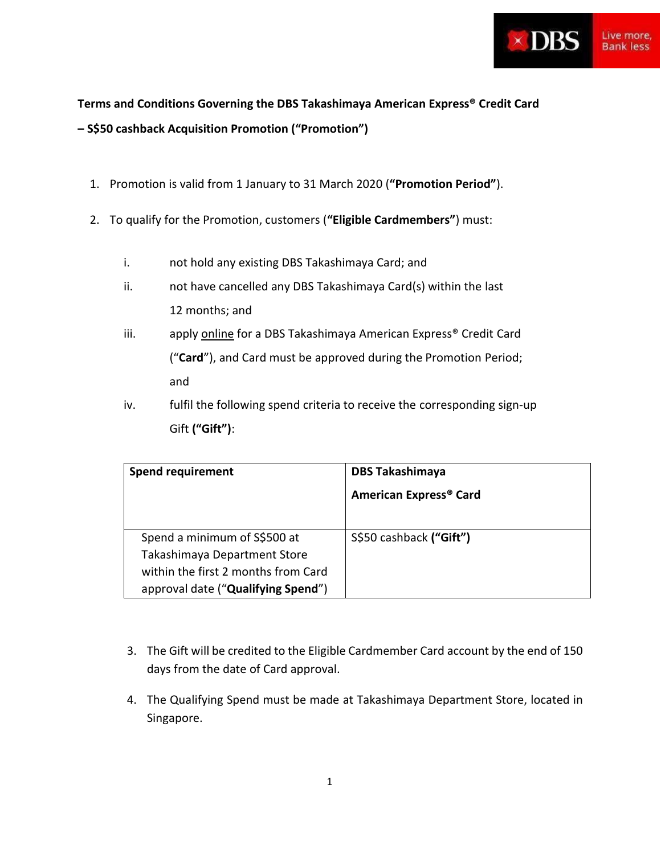

## **Terms and Conditions Governing the DBS Takashimaya American Express® Credit Card – S\$50 cashback Acquisition Promotion ("Promotion")**

- 1. Promotion is valid from 1 January to 31 March 2020 (**"Promotion Period"**).
- 2. To qualify for the Promotion, customers (**"Eligible Cardmembers"**) must:
	- i. not hold any existing DBS Takashimaya Card; and
	- ii. not have cancelled any DBS Takashimaya Card(s) within the last 12 months; and
	- iii. apply online for a DBS Takashimaya American Express<sup>®</sup> Credit Card ("**Card**"), and Card must be approved during the Promotion Period; and
	- iv. fulfil the following spend criteria to receive the corresponding sign-up Gift **("Gift")**:

| <b>Spend requirement</b>                                                                                                                  | <b>DBS Takashimaya</b><br><b>American Express<sup>®</sup> Card</b> |
|-------------------------------------------------------------------------------------------------------------------------------------------|--------------------------------------------------------------------|
| Spend a minimum of S\$500 at<br>Takashimaya Department Store<br>within the first 2 months from Card<br>approval date ("Qualifying Spend") | S\$50 cashback ("Gift")                                            |

- 3. The Gift will be credited to the Eligible Cardmember Card account by the end of 150 days from the date of Card approval.
- 4. The Qualifying Spend must be made at Takashimaya Department Store, located in Singapore.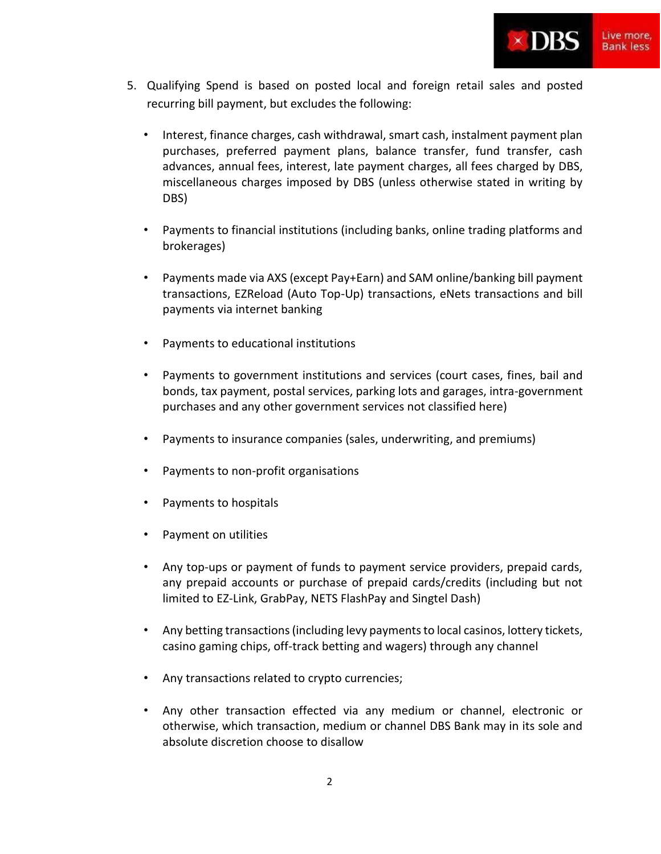

- 5. Qualifying Spend is based on posted local and foreign retail sales and posted recurring bill payment, but excludes the following:
	- Interest, finance charges, cash withdrawal, smart cash, instalment payment plan purchases, preferred payment plans, balance transfer, fund transfer, cash advances, annual fees, interest, late payment charges, all fees charged by DBS, miscellaneous charges imposed by DBS (unless otherwise stated in writing by DBS)
	- Payments to financial institutions (including banks, online trading platforms and brokerages)
	- Payments made via AXS (except Pay+Earn) and SAM online/banking bill payment transactions, EZReload (Auto Top-Up) transactions, eNets transactions and bill payments via internet banking
	- Payments to educational institutions
	- Payments to government institutions and services (court cases, fines, bail and bonds, tax payment, postal services, parking lots and garages, intra-government purchases and any other government services not classified here)
	- Payments to insurance companies (sales, underwriting, and premiums)
	- Payments to non-profit organisations
	- Payments to hospitals
	- Payment on utilities
	- Any top-ups or payment of funds to payment service providers, prepaid cards, any prepaid accounts or purchase of prepaid cards/credits (including but not limited to EZ-Link, GrabPay, NETS FlashPay and Singtel Dash)
	- Any betting transactions (including levy payments to local casinos, lottery tickets, casino gaming chips, off-track betting and wagers) through any channel
	- Any transactions related to crypto currencies;
	- Any other transaction effected via any medium or channel, electronic or otherwise, which transaction, medium or channel DBS Bank may in its sole and absolute discretion choose to disallow